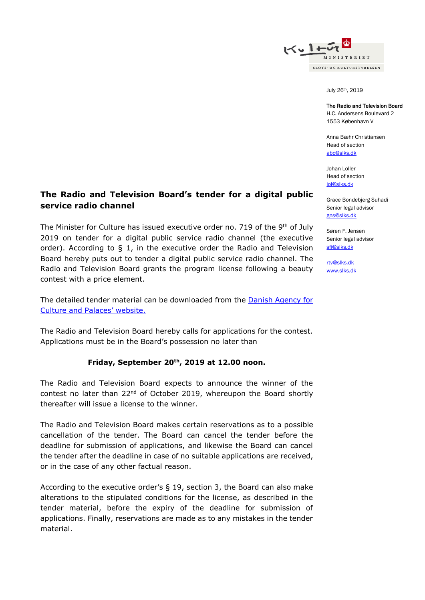

July 26th, 2019

#### The Radio and Television Board

H.C. Andersens Boulevard 2 1553 København V

Anna Bæhr Christiansen Head of section [abc@slks.dk](mailto:abc@slks.dk)

Johan Loller Head of section iol@slks.dk

Grace Bondebjerg Suhadi Senior legal advisor [gns@slks.dk](mailto:gns@slks.dk)

Søren F. Jensen Senior legal advisor [sfj@slks.dk](mailto:sfj@slks.dk)

[rtv@slks.dk](mailto:rtv@slks.dk) [www.slks.dk](http://www.slks.dk/)

# **The Radio and Television Board's tender for a digital public service radio channel**

The Minister for Culture has issued executive order no. 719 of the 9<sup>th</sup> of July 2019 on tender for a digital public service radio channel (the executive order). According to  $\xi$  1, in the executive order the Radio and Television Board hereby puts out to tender a digital public service radio channel. The Radio and Television Board grants the program license following a beauty contest with a price element.

The detailed tender material can be downloaded from the [Danish Agency for](https://slks.dk/index.php?id=39407&no_cache=1)  [Culture and P](https://slks.dk/index.php?id=39407&no_cache=1)alaces' website.

The Radio and Television Board hereby calls for applications for the contest. Applications must be in the Board's possession no later than

### **Friday, September 20th, 2019 at 12.00 noon.**

The Radio and Television Board expects to announce the winner of the contest no later than 22<sup>nd</sup> of October 2019, whereupon the Board shortly thereafter will issue a license to the winner.

The Radio and Television Board makes certain reservations as to a possible cancellation of the tender. The Board can cancel the tender before the deadline for submission of applications, and likewise the Board can cancel the tender after the deadline in case of no suitable applications are received, or in the case of any other factual reason.

According to the executive order's § 19, section 3, the Board can also make alterations to the stipulated conditions for the license, as described in the tender material, before the expiry of the deadline for submission of applications. Finally, reservations are made as to any mistakes in the tender material.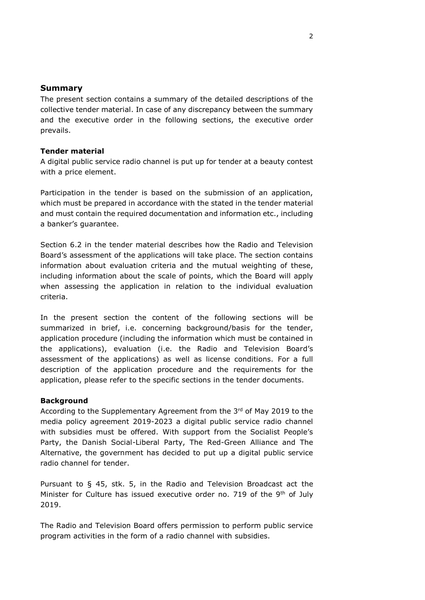### **Summary**

The present section contains a summary of the detailed descriptions of the collective tender material. In case of any discrepancy between the summary and the executive order in the following sections, the executive order prevails.

#### **Tender material**

A digital public service radio channel is put up for tender at a beauty contest with a price element.

Participation in the tender is based on the submission of an application, which must be prepared in accordance with the stated in the tender material and must contain the required documentation and information etc., including a banker's guarantee.

Section 6.2 in the tender material describes how the Radio and Television Board's assessment of the applications will take place. The section contains information about evaluation criteria and the mutual weighting of these, including information about the scale of points, which the Board will apply when assessing the application in relation to the individual evaluation criteria.

In the present section the content of the following sections will be summarized in brief, i.e. concerning background/basis for the tender, application procedure (including the information which must be contained in the applications), evaluation (i.e. the Radio and Television Board's assessment of the applications) as well as license conditions. For a full description of the application procedure and the requirements for the application, please refer to the specific sections in the tender documents.

#### **Background**

According to the Supplementary Agreement from the  $3<sup>rd</sup>$  of May 2019 to the media policy agreement 2019-2023 a digital public service radio channel with subsidies must be offered. With support from the Socialist People's Party, the Danish Social-Liberal Party, The Red-Green Alliance and The Alternative, the government has decided to put up a digital public service radio channel for tender.

Pursuant to § 45, stk. 5, in the Radio and Television Broadcast act the Minister for Culture has issued executive order no. 719 of the 9<sup>th</sup> of July 2019.

The Radio and Television Board offers permission to perform public service program activities in the form of a radio channel with subsidies.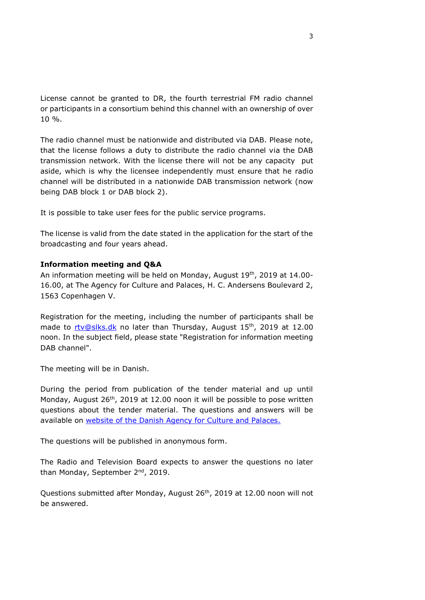License cannot be granted to DR, the fourth terrestrial FM radio channel or participants in a consortium behind this channel with an ownership of over 10 %.

The radio channel must be nationwide and distributed via DAB. Please note, that the license follows a duty to distribute the radio channel via the DAB transmission network. With the license there will not be any capacity put aside, which is why the licensee independently must ensure that he radio channel will be distributed in a nationwide DAB transmission network (now being DAB block 1 or DAB block 2).

It is possible to take user fees for the public service programs.

The license is valid from the date stated in the application for the start of the broadcasting and four years ahead.

### **Information meeting and Q&A**

An information meeting will be held on Monday, August 19<sup>th</sup>, 2019 at 14.00-16.00, at The Agency for Culture and Palaces, H. C. Andersens Boulevard 2, 1563 Copenhagen V.

Registration for the meeting, including the number of participants shall be made to [rtv@slks.dk](mailto:rtv@slks.dk) no later than Thursday, August 15<sup>th</sup>, 2019 at 12.00 noon. In the subject field, please state "Registration for information meeting DAB channel".

The meeting will be in Danish.

During the period from publication of the tender material and up until Monday, August  $26<sup>th</sup>$ , 2019 at 12.00 noon it will be possible to pose written questions about the tender material. The questions and answers will be available on website [of the Danish Agency for Culture and Palaces.](https://slks.dk/index.php?id=39407&no_cache=1)

The questions will be published in anonymous form.

The Radio and Television Board expects to answer the questions no later than Monday, September 2<sup>nd</sup>, 2019.

Questions submitted after Monday, August 26<sup>th</sup>, 2019 at 12.00 noon will not be answered.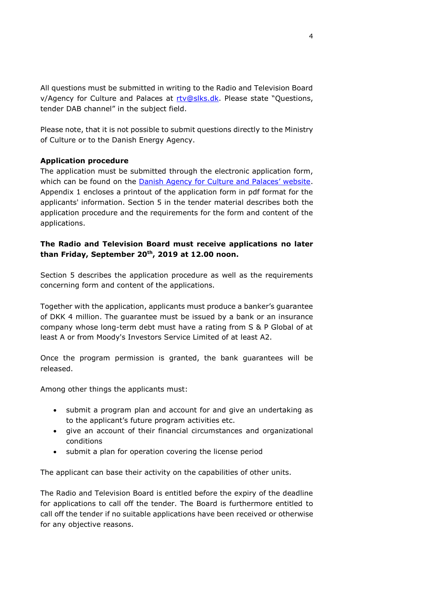All questions must be submitted in writing to the Radio and Television Board v/Agency for Culture and Palaces at [rtv@slks.dk.](mailto:rtv@slks.dk) Please state "Questions, tender DAB channel" in the subject field.

Please note, that it is not possible to submit questions directly to the Ministry of Culture or to the Danish Energy Agency.

# **Application procedure**

The application must be submitted through the electronic application form, which can be found on the Danish [Agency for Culture and Palaces' website](https://slks.dk/index.php?id=39407&no_cache=1). Appendix 1 encloses a printout of the application form in pdf format for the applicants' information. Section 5 in the tender material describes both the application procedure and the requirements for the form and content of the applications.

# **The Radio and Television Board must receive applications no later than Friday, September 20th, 2019 at 12.00 noon.**

Section 5 describes the application procedure as well as the requirements concerning form and content of the applications.

Together with the application, applicants must produce a banker's guarantee of DKK 4 million. The guarantee must be issued by a bank or an insurance company whose long-term debt must have a rating from S & P Global of at least A or from Moody's Investors Service Limited of at least A2.

Once the program permission is granted, the bank guarantees will be released.

Among other things the applicants must:

- submit a program plan and account for and give an undertaking as to the applicant's future program activities etc.
- give an account of their financial circumstances and organizational conditions
- submit a plan for operation covering the license period

The applicant can base their activity on the capabilities of other units.

The Radio and Television Board is entitled before the expiry of the deadline for applications to call off the tender. The Board is furthermore entitled to call off the tender if no suitable applications have been received or otherwise for any objective reasons.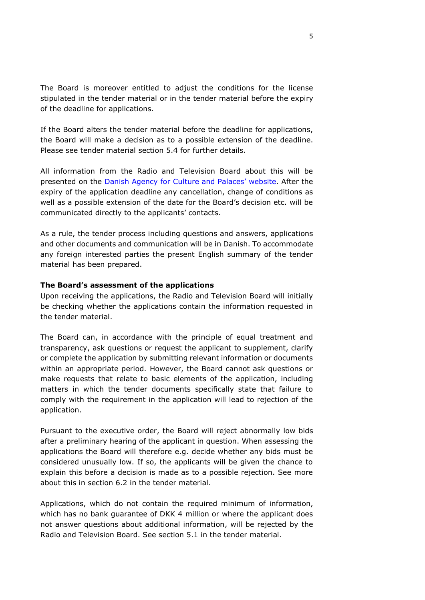The Board is moreover entitled to adjust the conditions for the license stipulated in the tender material or in the tender material before the expiry of the deadline for applications.

If the Board alters the tender material before the deadline for applications, the Board will make a decision as to a possible extension of the deadline. Please see tender material section 5.4 for further details.

All information from the Radio and Television Board about this will be presented on the Danish Agency for [Culture and Palaces'](https://slks.dk/index.php?id=39407&no_cache=1) website. After the expiry of the application deadline any cancellation, change of conditions as well as a possible extension of the date for the Board's decision etc. will be communicated directly to the applicants' contacts.

As a rule, the tender process including questions and answers, applications and other documents and communication will be in Danish. To accommodate any foreign interested parties the present English summary of the tender material has been prepared.

### **The Board's assessment of the applications**

Upon receiving the applications, the Radio and Television Board will initially be checking whether the applications contain the information requested in the tender material.

The Board can, in accordance with the principle of equal treatment and transparency, ask questions or request the applicant to supplement, clarify or complete the application by submitting relevant information or documents within an appropriate period. However, the Board cannot ask questions or make requests that relate to basic elements of the application, including matters in which the tender documents specifically state that failure to comply with the requirement in the application will lead to rejection of the application.

Pursuant to the executive order, the Board will reject abnormally low bids after a preliminary hearing of the applicant in question. When assessing the applications the Board will therefore e.g. decide whether any bids must be considered unusually low. If so, the applicants will be given the chance to explain this before a decision is made as to a possible rejection. See more about this in section 6.2 in the tender material.

Applications, which do not contain the required minimum of information, which has no bank guarantee of DKK 4 million or where the applicant does not answer questions about additional information, will be rejected by the Radio and Television Board. See section 5.1 in the tender material.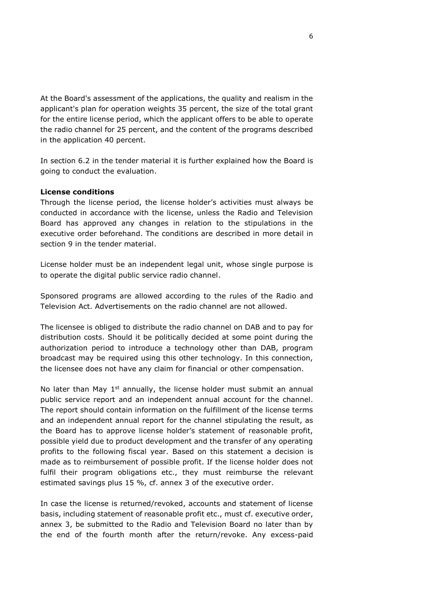At the Board's assessment of the applications, the quality and realism in the applicant's plan for operation weights 35 percent, the size of the total grant for the entire license period, which the applicant offers to be able to operate the radio channel for 25 percent, and the content of the programs described in the application 40 percent.

In section 6.2 in the tender material it is further explained how the Board is going to conduct the evaluation.

#### **License conditions**

Through the license period, the license holder's activities must always be conducted in accordance with the license, unless the Radio and Television Board has approved any changes in relation to the stipulations in the executive order beforehand. The conditions are described in more detail in section 9 in the tender material.

License holder must be an independent legal unit, whose single purpose is to operate the digital public service radio channel.

Sponsored programs are allowed according to the rules of the Radio and Television Act. Advertisements on the radio channel are not allowed.

The licensee is obliged to distribute the radio channel on DAB and to pay for distribution costs. Should it be politically decided at some point during the authorization period to introduce a technology other than DAB, program broadcast may be required using this other technology. In this connection, the licensee does not have any claim for financial or other compensation.

No later than May  $1<sup>st</sup>$  annually, the license holder must submit an annual public service report and an independent annual account for the channel. The report should contain information on the fulfillment of the license terms and an independent annual report for the channel stipulating the result, as the Board has to approve license holder's statement of reasonable profit, possible yield due to product development and the transfer of any operating profits to the following fiscal year. Based on this statement a decision is made as to reimbursement of possible profit. If the license holder does not fulfil their program obligations etc., they must reimburse the relevant estimated savings plus 15 %, cf. annex 3 of the executive order.

In case the license is returned/revoked, accounts and statement of license basis, including statement of reasonable profit etc., must cf. executive order, annex 3, be submitted to the Radio and Television Board no later than by the end of the fourth month after the return/revoke. Any excess-paid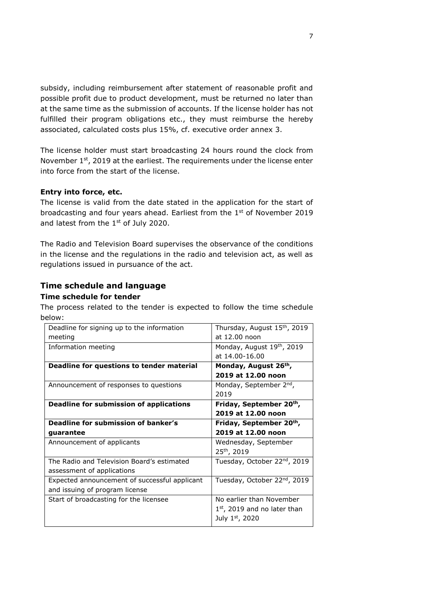subsidy, including reimbursement after statement of reasonable profit and possible profit due to product development, must be returned no later than at the same time as the submission of accounts. If the license holder has not fulfilled their program obligations etc., they must reimburse the hereby associated, calculated costs plus 15%, cf. executive order annex 3.

The license holder must start broadcasting 24 hours round the clock from November 1<sup>st</sup>, 2019 at the earliest. The requirements under the license enter into force from the start of the license.

## **Entry into force, etc.**

The license is valid from the date stated in the application for the start of broadcasting and four years ahead. Earliest from the 1<sup>st</sup> of November 2019 and latest from the  $1<sup>st</sup>$  of July 2020.

The Radio and Television Board supervises the observance of the conditions in the license and the regulations in the radio and television act, as well as regulations issued in pursuance of the act.

# **Time schedule and language**

## **Time schedule for tender**

The process related to the tender is expected to follow the time schedule below:

| Monday, August 19th, 2019                |
|------------------------------------------|
|                                          |
| Monday, August 26th,                     |
| 2019 at 12.00 noon                       |
| Monday, September 2nd,                   |
|                                          |
| Friday, September 20th,                  |
| 2019 at 12.00 noon                       |
| Friday, September 20th,                  |
| 2019 at 12.00 noon                       |
| Wednesday, September                     |
|                                          |
| Tuesday, October 22 <sup>nd</sup> , 2019 |
|                                          |
| Tuesday, October 22 <sup>nd</sup> , 2019 |
|                                          |
| No earlier than November                 |
| $1st$ , 2019 and no later than           |
|                                          |
|                                          |